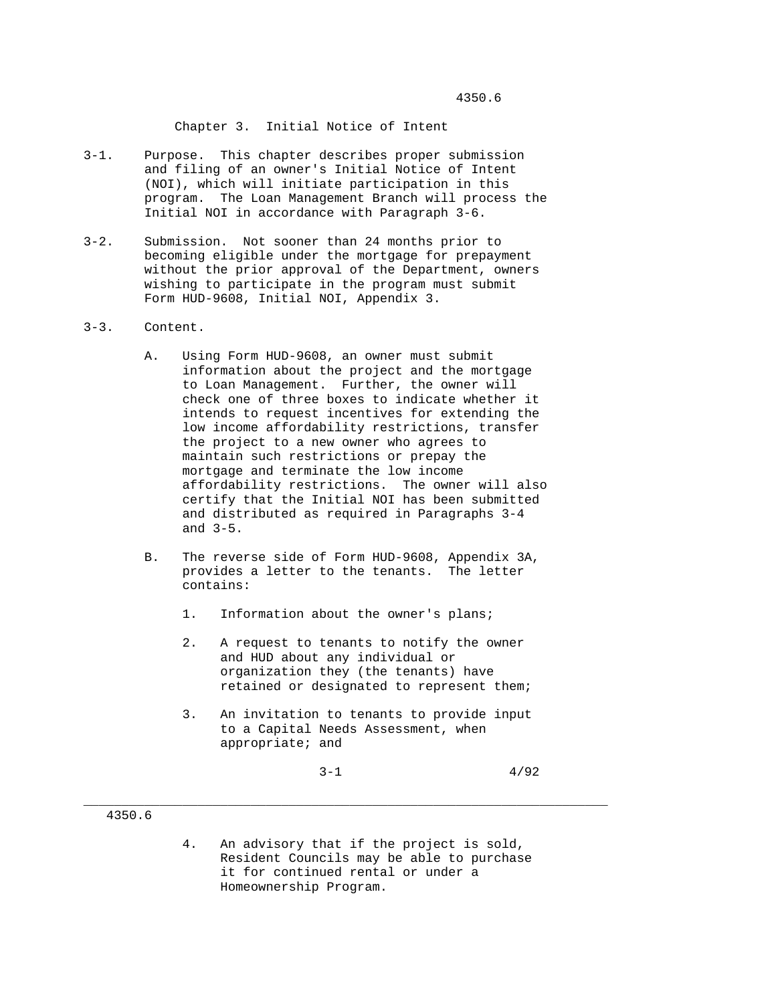4350.6

Chapter 3. Initial Notice of Intent

- 3-1. Purpose. This chapter describes proper submission and filing of an owner's Initial Notice of Intent (NOI), which will initiate participation in this program. The Loan Management Branch will process the Initial NOI in accordance with Paragraph 3-6.
- 3-2. Submission. Not sooner than 24 months prior to becoming eligible under the mortgage for prepayment without the prior approval of the Department, owners wishing to participate in the program must submit Form HUD-9608, Initial NOI, Appendix 3.
- 3-3. Content.
	- A. Using Form HUD-9608, an owner must submit information about the project and the mortgage to Loan Management. Further, the owner will check one of three boxes to indicate whether it intends to request incentives for extending the low income affordability restrictions, transfer the project to a new owner who agrees to maintain such restrictions or prepay the mortgage and terminate the low income affordability restrictions. The owner will also certify that the Initial NOI has been submitted and distributed as required in Paragraphs 3-4 and 3-5.
	- B. The reverse side of Form HUD-9608, Appendix 3A, provides a letter to the tenants. The letter contains:
		- 1. Information about the owner's plans;
		- 2. A request to tenants to notify the owner and HUD about any individual or organization they (the tenants) have retained or designated to represent them;
		- 3. An invitation to tenants to provide input to a Capital Needs Assessment, when appropriate; and

 $3-1$   $4/92$ 

## 4350.6

 4. An advisory that if the project is sold, Resident Councils may be able to purchase it for continued rental or under a Homeownership Program.

\_\_\_\_\_\_\_\_\_\_\_\_\_\_\_\_\_\_\_\_\_\_\_\_\_\_\_\_\_\_\_\_\_\_\_\_\_\_\_\_\_\_\_\_\_\_\_\_\_\_\_\_\_\_\_\_\_\_\_\_\_\_\_\_\_\_\_\_\_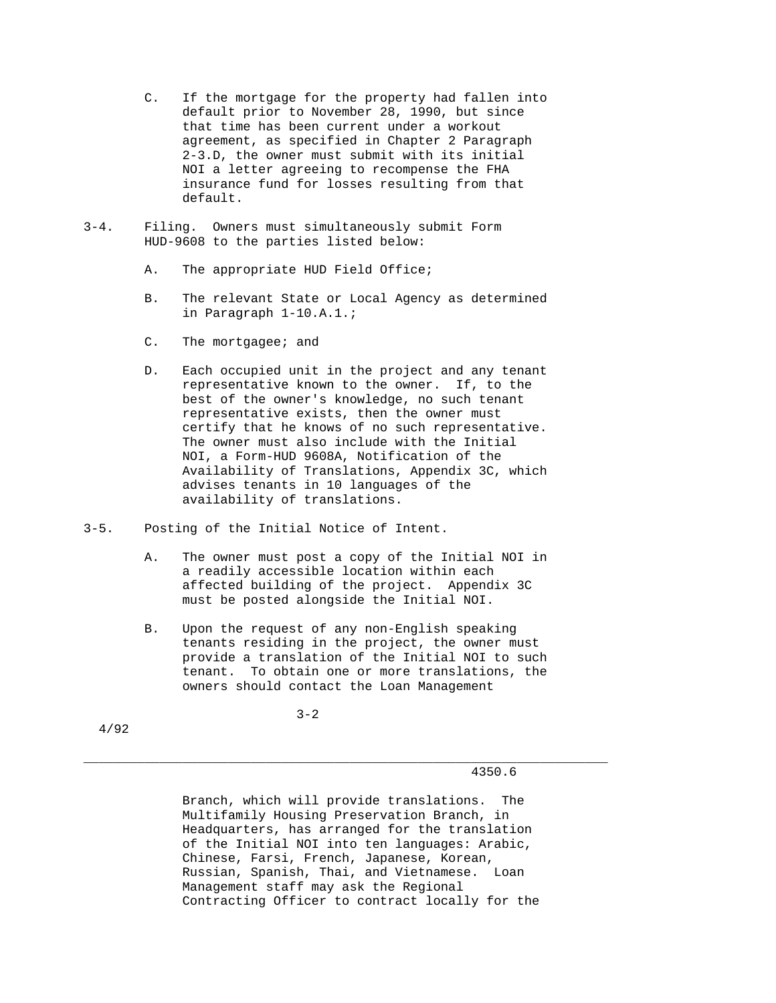- C. If the mortgage for the property had fallen into default prior to November 28, 1990, but since that time has been current under a workout agreement, as specified in Chapter 2 Paragraph 2-3.D, the owner must submit with its initial NOI a letter agreeing to recompense the FHA insurance fund for losses resulting from that default.
- 3-4. Filing. Owners must simultaneously submit Form HUD-9608 to the parties listed below:
	- A. The appropriate HUD Field Office;
	- B. The relevant State or Local Agency as determined in Paragraph 1-10.A.1.;
	- C. The mortgagee; and
	- D. Each occupied unit in the project and any tenant representative known to the owner. If, to the best of the owner's knowledge, no such tenant representative exists, then the owner must certify that he knows of no such representative. The owner must also include with the Initial NOI, a Form-HUD 9608A, Notification of the Availability of Translations, Appendix 3C, which advises tenants in 10 languages of the availability of translations.
- 3-5. Posting of the Initial Notice of Intent.
	- A. The owner must post a copy of the Initial NOI in a readily accessible location within each affected building of the project. Appendix 3C must be posted alongside the Initial NOI.
	- B. Upon the request of any non-English speaking tenants residing in the project, the owner must provide a translation of the Initial NOI to such tenant. To obtain one or more translations, the owners should contact the Loan Management

\_\_\_\_\_\_\_\_\_\_\_\_\_\_\_\_\_\_\_\_\_\_\_\_\_\_\_\_\_\_\_\_\_\_\_\_\_\_\_\_\_\_\_\_\_\_\_\_\_\_\_\_\_\_\_\_\_\_\_\_\_\_\_\_\_\_\_\_\_

4/92

 $3-2$ 

4350.6

 Branch, which will provide translations. The Multifamily Housing Preservation Branch, in Headquarters, has arranged for the translation of the Initial NOI into ten languages: Arabic, Chinese, Farsi, French, Japanese, Korean, Russian, Spanish, Thai, and Vietnamese. Loan Management staff may ask the Regional Contracting Officer to contract locally for the